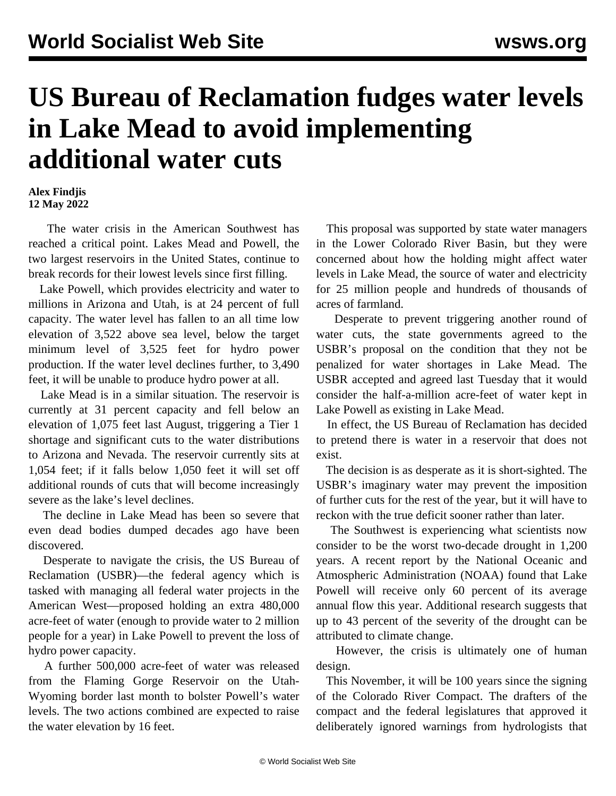## **US Bureau of Reclamation fudges water levels in Lake Mead to avoid implementing additional water cuts**

## **Alex Findjis 12 May 2022**

 The water crisis in the American Southwest has reached a critical point. Lakes Mead and Powell, the two largest reservoirs in the United States, continue to break records for their lowest levels since first filling.

 Lake Powell, which provides electricity and water to millions in Arizona and Utah, is at 24 percent of full capacity. The water level has fallen to an all time low elevation of 3,522 above sea level, below the target minimum level of 3,525 feet for hydro power production. If the water level declines further, to 3,490 feet, it will be unable to produce hydro power at all.

 Lake Mead is in a similar situation. The reservoir is currently at 31 percent capacity and fell below an elevation of 1,075 feet last August, triggering a Tier 1 shortage and significant cuts to the water distributions to Arizona and Nevada. The reservoir currently sits at 1,054 feet; if it falls below 1,050 feet it will set off additional rounds of cuts that will become increasingly severe as the lake's level declines.

 The decline in Lake Mead has been so severe that even dead bodies dumped decades ago have been discovered.

 Desperate to navigate the crisis, the US Bureau of Reclamation (USBR)—the federal agency which is tasked with managing all federal water projects in the American West—proposed holding an extra 480,000 acre-feet of water (enough to provide water to 2 million people for a year) in Lake Powell to prevent the loss of hydro power capacity.

 A further 500,000 acre-feet of water was released from the Flaming Gorge Reservoir on the Utah-Wyoming border last month to bolster Powell's water levels. The two actions combined are expected to raise the water elevation by 16 feet.

 This proposal was supported by state water managers in the Lower Colorado River Basin, but they were concerned about how the holding might affect water levels in Lake Mead, the source of water and electricity for 25 million people and hundreds of thousands of acres of farmland.

 Desperate to prevent triggering another round of water cuts, the state governments agreed to the USBR's proposal on the condition that they not be penalized for water shortages in Lake Mead. The USBR accepted and agreed last Tuesday that it would consider the half-a-million acre-feet of water kept in Lake Powell as existing in Lake Mead.

 In effect, the US Bureau of Reclamation has decided to pretend there is water in a reservoir that does not exist.

 The decision is as desperate as it is short-sighted. The USBR's imaginary water may prevent the imposition of further cuts for the rest of the year, but it will have to reckon with the true deficit sooner rather than later.

 The Southwest is experiencing what scientists now consider to be the worst two-decade drought in 1,200 years. A recent report by the National Oceanic and Atmospheric Administration (NOAA) found that Lake Powell will receive only 60 percent of its average annual flow this year. Additional research suggests that up to 43 percent of the severity of the drought can be attributed to climate change.

 However, the crisis is ultimately one of human design.

 This November, it will be 100 years since the signing of the Colorado River Compact. The drafters of the compact and the federal legislatures that approved it deliberately ignored warnings from hydrologists that